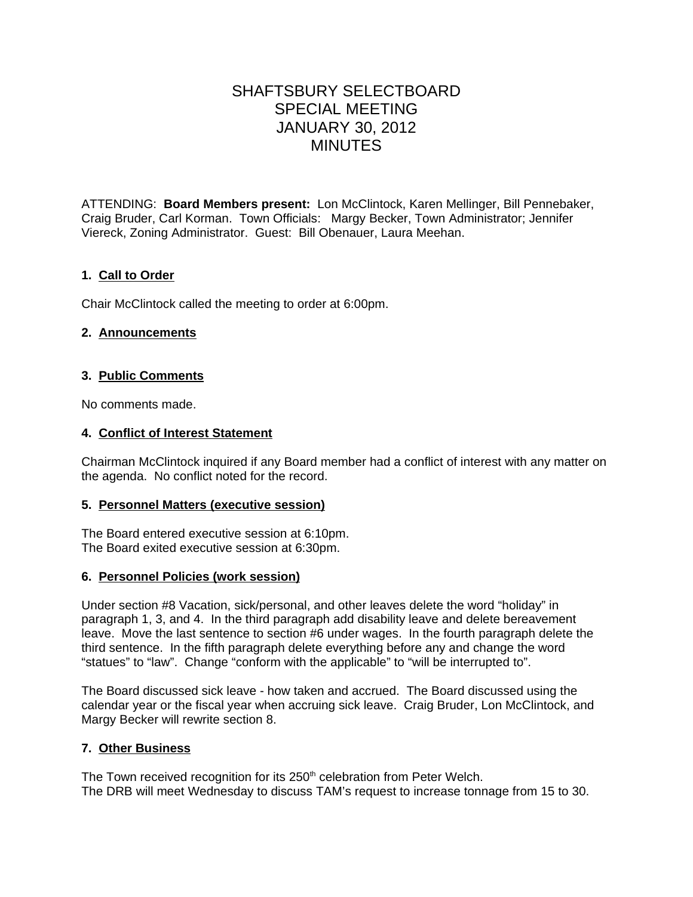# SHAFTSBURY SELECTBOARD SPECIAL MEETING JANUARY 30, 2012 MINUTES

ATTENDING: **Board Members present:** Lon McClintock, Karen Mellinger, Bill Pennebaker, Craig Bruder, Carl Korman. Town Officials: Margy Becker, Town Administrator; Jennifer Viereck, Zoning Administrator. Guest: Bill Obenauer, Laura Meehan.

# **1. Call to Order**

Chair McClintock called the meeting to order at 6:00pm.

## **2. Announcements**

## **3. Public Comments**

No comments made.

## **4. Conflict of Interest Statement**

Chairman McClintock inquired if any Board member had a conflict of interest with any matter on the agenda. No conflict noted for the record.

#### **5. Personnel Matters (executive session)**

The Board entered executive session at 6:10pm. The Board exited executive session at 6:30pm.

## **6. Personnel Policies (work session)**

Under section #8 Vacation, sick/personal, and other leaves delete the word "holiday" in paragraph 1, 3, and 4. In the third paragraph add disability leave and delete bereavement leave. Move the last sentence to section #6 under wages. In the fourth paragraph delete the third sentence. In the fifth paragraph delete everything before any and change the word "statues" to "law". Change "conform with the applicable" to "will be interrupted to".

The Board discussed sick leave - how taken and accrued. The Board discussed using the calendar year or the fiscal year when accruing sick leave. Craig Bruder, Lon McClintock, and Margy Becker will rewrite section 8.

## **7. Other Business**

The Town received recognition for its 250<sup>th</sup> celebration from Peter Welch. The DRB will meet Wednesday to discuss TAM's request to increase tonnage from 15 to 30.